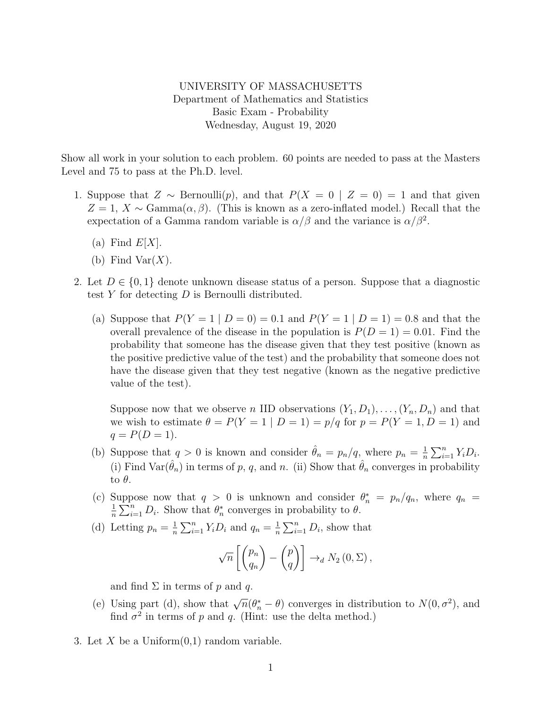UNIVERSITY OF MASSACHUSETTS Department of Mathematics and Statistics Basic Exam - Probability Wednesday, August 19, 2020

Show all work in your solution to each problem. 60 points are needed to pass at the Masters Level and 75 to pass at the Ph.D. level.

- 1. Suppose that  $Z \sim \text{Bernoulli}(p)$ , and that  $P(X = 0 \mid Z = 0) = 1$  and that given  $Z = 1, X \sim \text{Gamma}(\alpha, \beta)$ . (This is known as a zero-inflated model.) Recall that the expectation of a Gamma random variable is  $\alpha/\beta$  and the variance is  $\alpha/\beta^2$ .
	- (a) Find  $E[X]$ .
	- (b) Find Var $(X)$ .
- 2. Let  $D \in \{0,1\}$  denote unknown disease status of a person. Suppose that a diagnostic test  $Y$  for detecting  $D$  is Bernoulli distributed.
	- (a) Suppose that  $P(Y = 1 | D = 0) = 0.1$  and  $P(Y = 1 | D = 1) = 0.8$  and that the overall prevalence of the disease in the population is  $P(D = 1) = 0.01$ . Find the probability that someone has the disease given that they test positive (known as the positive predictive value of the test) and the probability that someone does not have the disease given that they test negative (known as the negative predictive value of the test).

Suppose now that we observe n IID observations  $(Y_1, D_1), \ldots, (Y_n, D_n)$  and that we wish to estimate  $\theta = P(Y = 1 | D = 1) = p/q$  for  $p = P(Y = 1, D = 1)$  and  $q = P(D = 1).$ 

- (b) Suppose that  $q > 0$  is known and consider  $\hat{\theta}_n = p_n/q$ , where  $p_n = \frac{1}{n}$  $\frac{1}{n} \sum_{i=1}^n Y_i D_i.$ (i) Find Var $(\hat{\theta}_n)$  in terms of p, q, and n. (ii) Show that  $\hat{\theta}_n$  converges in probability to  $\theta$ .
- (c) Suppose now that  $q > 0$  is unknown and consider  $\theta_n^* = p_n/q_n$ , where  $q_n =$ 1  $\frac{1}{n} \sum_{i=1}^{n} D_i$ . Show that  $\theta_n^*$  converges in probability to  $\theta$ .
- (d) Letting  $p_n = \frac{1}{n}$  $\frac{1}{n}\sum_{i=1}^{n} Y_i D_i$  and  $q_n = \frac{1}{n}$  $\frac{1}{n} \sum_{i=1}^{n} D_i$ , show that

$$
\sqrt{n}\left[\begin{pmatrix}p_n\\q_n\end{pmatrix}-\begin{pmatrix}p\\q\end{pmatrix}\right]\rightarrow_d N_2(0,\Sigma),
$$

and find  $\Sigma$  in terms of p and q.

- (e) Using part (d), show that  $\sqrt{n}(\theta_n^* \theta)$  converges in distribution to  $N(0, \sigma^2)$ , and find  $\sigma^2$  in terms of p and q. (Hint: use the delta method.)
- 3. Let X be a Uniform $(0,1)$  random variable.